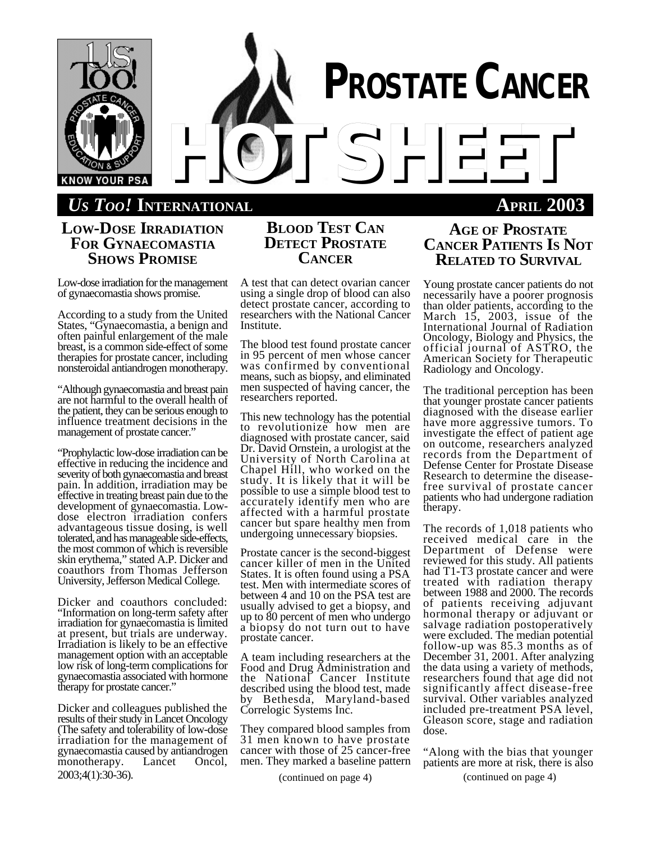

# *US TOO!* **INTERNATIONAL APRIL 2003**

## **LOW-DOSE IRRADIATION FOR GYNAECOMASTIA SHOWS PROMISE**

Low-dose irradiation for the management of gynaecomastia shows promise.

According to a study from the United States, "Gynaecomastia, a benign and often painful enlargement of the male breast, is a common side-effect of some therapies for prostate cancer, including nonsteroidal antiandrogen monotherapy.

"Although gynaecomastia and breast pain are not harmful to the overall health of the patient, they can be serious enough to influence treatment decisions in the management of prostate cancer."

"Prophylactic low-dose irradiation can be effective in reducing the incidence and severity of both gynaecomastia and breast pain. In addition, irradiation may be effective in treating breast pain due to the development of gynaecomastia. Lowdose electron irradiation confers advantageous tissue dosing, is well tolerated, and has manageable side-effects, the most common of which is reversible skin erythema," stated A.P. Dicker and coauthors from Thomas Jefferson University, Jefferson Medical College.

Dicker and coauthors concluded: "Information on long-term safety after irradiation for gynaecomastia is limited at present, but trials are underway. Irradiation is likely to be an effective management option with an acceptable low risk of long-term complications for gynaecomastia associated with hormone therapy for prostate cancer."

Dicker and colleagues published the results of their study in Lancet Oncology (The safety and tolerability of low-dose irradiation for the management of gynaecomastia caused by antiandrogen<br>monotherapy. Lancet Oncol, monotherapy. 2003;4(1):30-36).

# **BLOOD TEST CAN DETECT PROSTATE CANCER**

A test that can detect ovarian cancer using a single drop of blood can also detect prostate cancer, according to researchers with the National Cancer Institute.

The blood test found prostate cancer in 95 percent of men whose cancer was confirmed by conventional means, such as biopsy, and eliminated men suspected of having cancer, the researchers reported.

This new technology has the potential to revolutionize how men are diagnosed with prostate cancer, said Dr. David Ornstein, a urologist at the University of North Carolina at Chapel Hill, who worked on the study. It is likely that it will be possible to use a simple blood test to accurately identify men who are affected with a harmful prostate cancer but spare healthy men from undergoing unnecessary biopsies.

Prostate cancer is the second-biggest cancer killer of men in the United States. It is often found using a PSA test. Men with intermediate scores of between 4 and 10 on the PSA test are usually advised to get a biopsy, and up to 80 percent of men who undergo a biopsy do not turn out to have prostate cancer.

A team including researchers at the Food and Drug Administration and the National Cancer Institute described using the blood test, made by Bethesda, Maryland-based Correlogic Systems Inc.

They compared blood samples from 31 men known to have prostate cancer with those of 25 cancer-free men. They marked a baseline pattern

## **AGE OF PROSTATE CANCER PATIENTS IS NOT RELATED TO SURVIVAL**

Young prostate cancer patients do not necessarily have a poorer prognosis than older patients, according to the March 15, 2003, issue of the International Journal of Radiation Oncology, Biology and Physics, the official journal of ASTRO, the American Society for Therapeutic Radiology and Oncology.

The traditional perception has been that younger prostate cancer patients diagnosed with the disease earlier have more aggressive tumors. To investigate the effect of patient age on outcome, researchers analyzed records from the Department of Defense Center for Prostate Disease Research to determine the diseasefree survival of prostate cancer patients who had undergone radiation therapy.

The records of 1,018 patients who received medical care in the Department of Defense were reviewed for this study. All patients had T1-T3 prostate cancer and were treated with radiation therapy between 1988 and 2000. The records of patients receiving adjuvant hormonal therapy or adjuvant or salvage radiation postoperatively were excluded. The median potential follow-up was 85.3 months as of December 31, 2001. After analyzing the data using a variety of methods, researchers found that age did not significantly affect disease-free survival. Other variables analyzed included pre-treatment PSA level, Gleason score, stage and radiation dose.

"Along with the bias that younger patients are more at risk, there is also

(continued on page 4) (continued on page 4)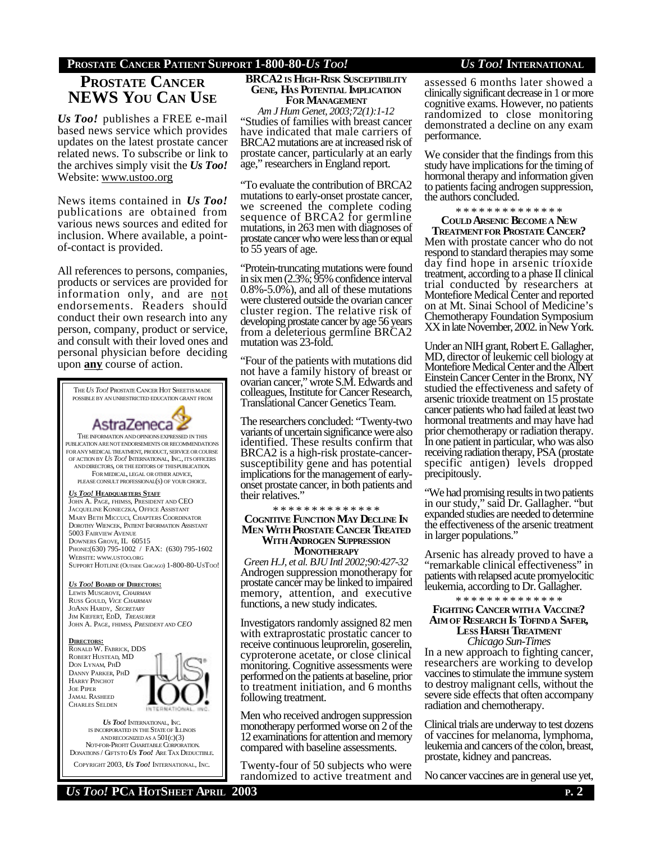## **PROSTATE CANCER PATIENT SUPPORT 1-800-80-***US TOO! US TOO!* **INTERNATIONAL**

# **PROSTATE CANCER NEWS YOU CAN USE**

*Us Too!* publishes a FREE e-mail based news service which provides updates on the latest prostate cancer related news. To subscribe or link to the archives simply visit the *Us Too!* Website: www.ustoo.org

News items contained in *Us Too!* publications are obtained from various news sources and edited for inclusion. Where available, a pointof-contact is provided.

All references to persons, companies, products or services are provided for information only, and are not endorsements. Readers should conduct their own research into any person, company, product or service, and consult with their loved ones and personal physician before deciding upon **any** course of action.



IS INCORPORATED IN THE STATE OF ILLINOIS ANDRECOGNIZEDAS A 501(C)(3) NOT-FOR-PROFIT CHARITABLE CORPORATION. DONATIONS / GIFTSTO *US TOO!* ARE TAX DEDUCTIBLE. COPYRIGHT 2003, *US TOO!* INTERNATIONAL, INC.

**BRCA2 IS HIGH-RISK SUSCEPTIBILITY GENE, HAS POTENTIAL IMPLICATION FOR MANAGEMENT**

*Am J Hum Genet, 2003;72(1):1-12* "Studies of families with breast cancer have indicated that male carriers of BRCA2 mutations are at increased risk of prostate cancer, particularly at an early age," researchers in England report.

"To evaluate the contribution of BRCA2 mutations to early-onset prostate cancer, we screened the complete coding sequence of BRCA2 for germline mutations, in 263 men with diagnoses of prostate cancer who were less than or equal to 55 years of age.

"Protein-truncating mutations were found in six men (2.3%; 95% confidence interval 0.8%-5.0%), and all of these mutations were clustered outside the ovarian cancer cluster region. The relative risk of developing prostate cancer by age 56 years from a deleterious germline BRCA2 mutation was 23-fold.

"Four of the patients with mutations did not have a family history of breast or ovarian cancer," wrote S.M. Edwards and colleagues, Institute for Cancer Research, Translational Cancer Genetics Team.

The researchers concluded: "Twenty-two variants of uncertain significance were also identified. These results confirm that BRCA2 is a high-risk prostate-cancersusceptibility gene and has potential implications for the management of earlyonset prostate cancer, in both patients and their relatives.'

\* \* \* \* \* \* \* \* \* \* \* \* \*

### **COGNITIVE FUNCTION MAY DECLINE IN MEN WITH PROSTATE CANCER TREATED WITH ANDROGEN SUPPRESSION MONOTHERAPY**

*Green H.J, et al. BJU Intl 2002;90:427-32* Androgen suppression monotherapy for prostate cancer may be linked to impaired memory, attention, and executive functions, a new study indicates.

Investigators randomly assigned 82 men with extraprostatic prostatic cancer to receive continuous leuprorelin, goserelin, cyproterone acetate, or close clinical monitoring. Cognitive assessments were performed on the patients at baseline, prior to treatment initiation, and 6 months following treatment.

Men who received androgen suppression monotherapy performed worse on 2 of the 12 examinations for attention and memory compared with baseline assessments.

Twenty-four of 50 subjects who were randomized to active treatment and assessed 6 months later showed a clinically significant decrease in 1 or more cognitive exams. However, no patients randomized to close monitoring demonstrated a decline on any exam performance.

We consider that the findings from this study have implications for the timing of hormonal therapy and information given to patients facing androgen suppression, the authors concluded.

\* \* \* \* \* \* \* \* \* \* \* \* \* \*

**COULD ARSENIC BECOME A NEW**

**TREATMENTFOR PROSTATE CANCER?** Men with prostate cancer who do not respond to standard therapies may some day find hope in arsenic trioxide treatment, according to a phase II clinical trial conducted by researchers at Montefiore Medical Center and reported on at Mt. Sinai School of Medicine's Chemotherapy Foundation Symposium XX in late November, 2002. in New York.

Under an NIH grant, Robert E. Gallagher, MD, director of leukemic cell biology at Montefiore Medical Center and the Albert Einstein Cancer Center in the Bronx, NY studied the effectiveness and safety of arsenic trioxide treatment on 15 prostate cancer patients who had failed at least two hormonal treatments and may have had prior chemotherapy or radiation therapy. In one patient in particular, who was also receiving radiation therapy, PSA (prostate specific antigen) levels dropped precipitously.

"We had promising results in two patients in our study," said Dr. Gallagher. "but expanded studies are needed to determine the effectiveness of the arsenic treatment in larger populations."

Arsenic has already proved to have a "remarkable clinical effectiveness" in patients with relapsed acute promyelocitic leukemia, according to Dr. Gallagher.

### \* \* \* \* \* \* \* \* \* \* \* \* \* \* **FIGHTING CANCERWITHA VACCINE? AIMOF RESEARCH IS TOFIND A SAFER, LESS HARSH TREATMENT**

*Chicago Sun-Times* In a new approach to fighting cancer, researchers are working to develop vaccines to stimulate the immune system to destroy malignant cells, without the severe side effects that often accompany radiation and chemotherapy.

Clinical trials are underway to test dozens of vaccines for melanoma, lymphoma, leukemia and cancers of the colon, breast, prostate, kidney and pancreas.

No cancer vaccines are in general use yet,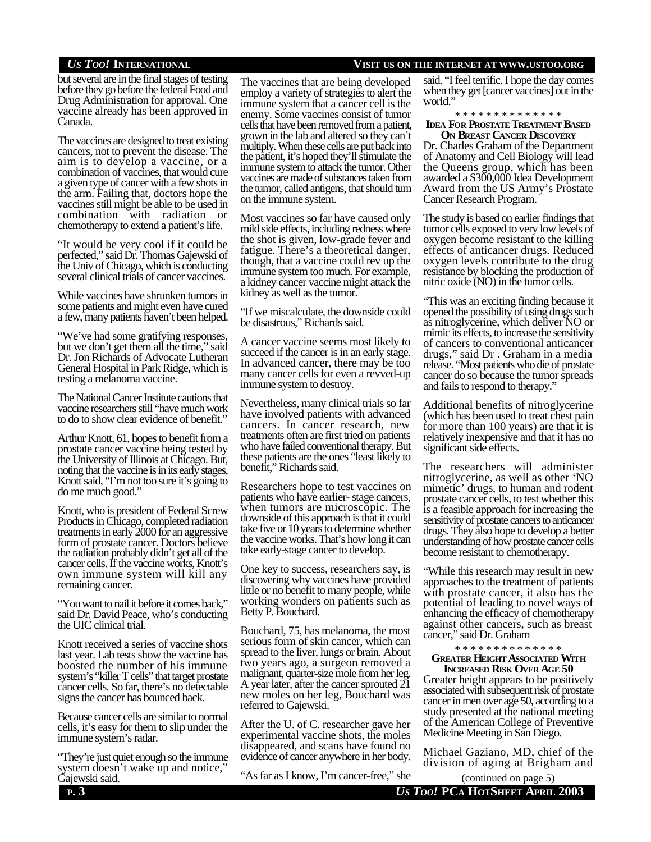## *US TOO!* **INTERNATIONAL VISIT US ON THE INTERNET AT WWW.USTOO.ORG**

but several are in the final stages of testing before they go before the federal Food and Drug Administration for approval. One vaccine already has been approved in Canada.

The vaccines are designed to treat existing cancers, not to prevent the disease. The aim is to develop a vaccine, or a combination of vaccines, that would cure a given type of cancer with a few shots in the arm. Failing that, doctors hope the vaccines still might be able to be used in combination with radiation or chemotherapy to extend a patient's life.

"It would be very cool if it could be perfected," said Dr. Thomas Gajewski of the Univ of Chicago, which is conducting several clinical trials of cancer vaccines.

While vaccines have shrunken tumors in some patients and might even have cured a few, many patients haven't been helped.

"We've had some gratifying responses, but we don't get them all the time," said Dr. Jon Richards of Advocate Lutheran General Hospital in Park Ridge, which is testing a melanoma vaccine.

The National Cancer Institute cautions that vaccine researchers still "have much work to do to show clear evidence of benefit."

Arthur Knott, 61, hopes to benefit from a prostate cancer vaccine being tested by the University of Illinois at Chicago. But, noting that the vaccine is in its early stages, Knott said, "I'm not too sure it's going to do me much good."

Knott, who is president of Federal Screw Products in Chicago, completed radiation treatments in early 2000 for an aggressive form of prostate cancer. Doctors believe the radiation probably didn't get all of the cancer cells. If the vaccine works, Knott's own immune system will kill any remaining cancer.

"You want to nail it before it comes back," said Dr. David Peace, who's conducting the UIC clinical trial.

Knott received a series of vaccine shots last year. Lab tests show the vaccine has boosted the number of his immune system's "killer T cells" that target prostate cancer cells. So far, there's no detectable signs the cancer has bounced back.

Because cancer cells are similar to normal cells, it's easy for them to slip under the immune system's radar.

"They're just quiet enough so the immune system doesn't wake up and notice, Gajewski said.

The vaccines that are being developed employ a variety of strategies to alert the immune system that a cancer cell is the enemy. Some vaccines consist of tumor cells that have been removed from a patient, grown in the lab and altered so they can't multiply. When these cells are put back into the patient, it's hoped they'll stimulate the immune system to attack the tumor. Other vaccines are made of substances taken from the tumor, called antigens, that should turn on the immune system.

Most vaccines so far have caused only mild side effects, including redness where the shot is given, low-grade fever and fatigue. There's a theoretical danger, though, that a vaccine could rev up the immune system too much. For example, a kidney cancer vaccine might attack the kidney as well as the tumor.

"If we miscalculate, the downside could be disastrous," Richards said.

A cancer vaccine seems most likely to succeed if the cancer is in an early stage. In advanced cancer, there may be too many cancer cells for even a revved-up immune system to destroy.

Nevertheless, many clinical trials so far have involved patients with advanced cancers. In cancer research, new treatments often are first tried on patients who have failed conventional therapy. But these patients are the ones "least likely to benefit," Richards said.

Researchers hope to test vaccines on patients who have earlier- stage cancers, when tumors are microscopic. The downside of this approach is that it could take five or 10 years to determine whether the vaccine works. That's how long it can take early-stage cancer to develop.

One key to success, researchers say, is discovering why vaccines have provided little or no benefit to many people, while working wonders on patients such as Betty P. Bouchard.

Bouchard, 75, has melanoma, the most serious form of skin cancer, which can spread to the liver, lungs or brain. About two years ago, a surgeon removed a malignant, quarter-size mole from her leg. A year later, after the cancer sprouted 21 new moles on her leg, Bouchard was referred to Gajewski.

After the U. of C. researcher gave her experimental vaccine shots, the moles disappeared, and scans have found no evidence of cancer anywhere in her body.

"As far as I know, I'm cancer-free," she

said. "I feel terrific. I hope the day comes when they get [cancer vaccines] out in the world.'

\* \* \* \* \* \* \* \* \* \* \* \* \* \*

### **IDEA FOR PROSTATE TREATMENT BASED ON BREAST CANCER DISCOVERY**

Dr. Charles Graham of the Department of Anatomy and Cell Biology will lead the Queens group, which has been awarded a \$300,000 Idea Development Award from the US Army's Prostate Cancer Research Program.

The study is based on earlier findings that tumor cells exposed to very low levels of oxygen become resistant to the killing effects of anticancer drugs. Reduced oxygen levels contribute to the drug resistance by blocking the production of nitric oxide (NO) in the tumor cells.

"This was an exciting finding because it opened the possibility of using drugs such as nitroglycerine, which deliver NO or mimic its effects, to increase the sensitivity of cancers to conventional anticancer drugs," said Dr . Graham in a media release. "Most patients who die of prostate cancer do so because the tumor spreads and fails to respond to therapy."

Additional benefits of nitroglycerine (which has been used to treat chest pain for more than 100 years) are that it is relatively inexpensive and that it has no significant side effects.

The researchers will administer nitroglycerine, as well as other 'NO mimetic' drugs, to human and rodent prostate cancer cells, to test whether this is a feasible approach for increasing the sensitivity of prostate cancers to anticancer drugs. They also hope to develop a better understanding of how prostate cancer cells become resistant to chemotherapy.

"While this research may result in new approaches to the treatment of patients with prostate cancer, it also has the potential of leading to novel ways of enhancing the efficacy of chemotherapy against other cancers, such as breast cancer," said Dr. Graham

\* \* \* \* \* \* \* \* \* \* \* \* \* \* **GREATER HEIGHT ASSOCIATED WITH**

**INCREASED RISK OVER AGE 50**

Greater height appears to be positively associated with subsequent risk of prostate cancer in men over age 50, according to a study presented at the national meeting of the American College of Preventive Medicine Meeting in San Diego.

Michael Gaziano, MD, chief of the division of aging at Brigham and

(continued on page 5)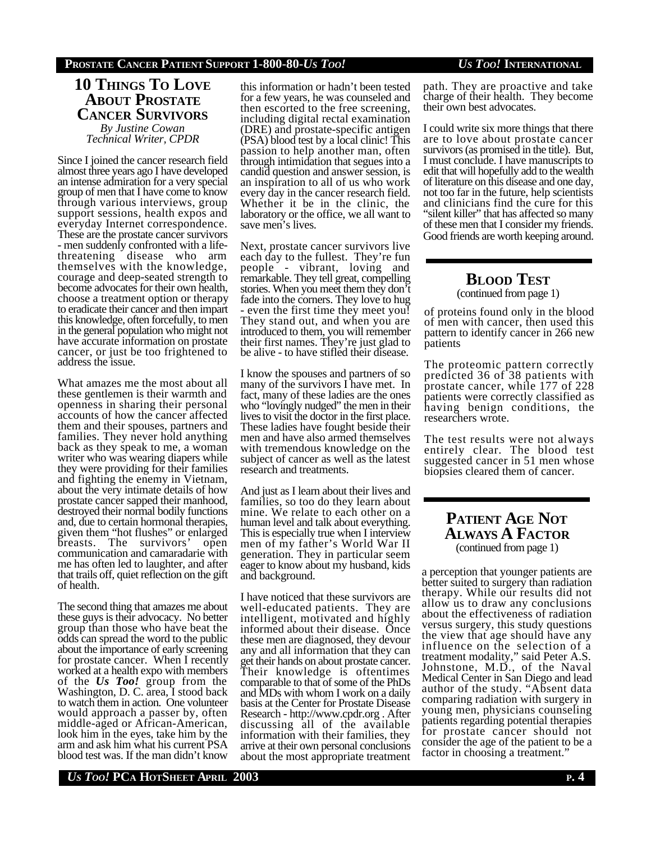## **10 THINGS TO LOVE ABOUT PROSTATE CANCER SURVIVORS**

*By Justine Cowan Technical Writer, CPDR*

Since I joined the cancer research field almost three years ago I have developed an intense admiration for a very special group of men that I have come to know through various interviews, group support sessions, health expos and everyday Internet correspondence. These are the prostate cancer survivors - men suddenly confronted with a lifethreatening disease who arm themselves with the knowledge, courage and deep-seated strength to become advocates for their own health, choose a treatment option or therapy to eradicate their cancer and then impart this knowledge, often forcefully, to men in the general population who might not have accurate information on prostate cancer, or just be too frightened to address the issue.

What amazes me the most about all these gentlemen is their warmth and openness in sharing their personal accounts of how the cancer affected them and their spouses, partners and families. They never hold anything back as they speak to me, a woman writer who was wearing diapers while they were providing for their families and fighting the enemy in Vietnam, about the very intimate details of how prostate cancer sapped their manhood, destroyed their normal bodily functions and, due to certain hormonal therapies, given them "hot flushes" or enlarged breasts. The survivors' open communication and camaradarie with me has often led to laughter, and after that trails off, quiet reflection on the gift of health.

The second thing that amazes me about these guys is their advocacy. No better group than those who have beat the odds can spread the word to the public about the importance of early screening for prostate cancer. When I recently worked at a health expo with members of the *Us Too!* group from the Washington, D. C. area, I stood back to watch them in action. One volunteer would approach a passer by, often middle-aged or African-American, look him in the eyes, take him by the arm and ask him what his current PSA blood test was. If the man didn't know

this information or hadn't been tested for a few years, he was counseled and then escorted to the free screening, including digital rectal examination (DRE) and prostate-specific antigen (PSA) blood test by a local clinic! This passion to help another man, often through intimidation that segues into a candid question and answer session, is an inspiration to all of us who work every day in the cancer research field. Whether it be in the clinic, the laboratory or the office, we all want to save men's lives.

Next, prostate cancer survivors live each day to the fullest. They're fun people - vibrant, loving and remarkable. They tell great, compelling stories. When you meet them they don't fade into the corners. They love to hug - even the first time they meet you! They stand out, and when you are introduced to them, you will remember their first names. They're just glad to be alive - to have stifled their disease.

I know the spouses and partners of so many of the survivors I have met. In fact, many of these ladies are the ones who "lovingly nudged" the men in their lives to visit the doctor in the first place. These ladies have fought beside their men and have also armed themselves with tremendous knowledge on the subject of cancer as well as the latest research and treatments.

And just as I learn about their lives and families, so too do they learn about mine. We relate to each other on a human level and talk about everything. This is especially true when I interview men of my father's World War II generation. They in particular seem eager to know about my husband, kids and background.

I have noticed that these survivors are well-educated patients. They are intelligent, motivated and highly informed about their disease. Once these men are diagnosed, they devour any and all information that they can get their hands on about prostate cancer. Their knowledge is oftentimes comparable to that of some of the PhDs and MDs with whom I work on a daily basis at the Center for Prostate Disease Research - http://www.cpdr.org . After discussing all of the available information with their families, they arrive at their own personal conclusions about the most appropriate treatment path. They are proactive and take charge of their health. They become their own best advocates.

I could write six more things that there are to love about prostate cancer survivors (as promised in the title). But, I must conclude. I have manuscripts to edit that will hopefully add to the wealth of literature on this disease and one day, not too far in the future, help scientists and clinicians find the cure for this "silent killer" that has affected so many of these men that I consider my friends. Good friends are worth keeping around.

# **BLOOD TEST**

(continued from page 1)

of proteins found only in the blood of men with cancer, then used this pattern to identify cancer in 266 new patients

The proteomic pattern correctly predicted 36 of 38 patients with prostate cancer, while 177 of 228 patients were correctly classified as having benign conditions, the researchers wrote.

The test results were not always entirely clear. The blood test suggested cancer in 51 men whose biopsies cleared them of cancer.

## **PATIENT AGE NOT ALWAYS A FACTOR** (continued from page 1)

a perception that younger patients are better suited to surgery than radiation therapy. While our results did not allow us to draw any conclusions about the effectiveness of radiation versus surgery, this study questions the view that age should have any influence on the selection of a treatment modality," said Peter A.S. Johnstone, M.D., of the Naval Medical Center in San Diego and lead author of the study. "Absent data comparing radiation with surgery in young men, physicians counseling patients regarding potential therapies for prostate cancer should not consider the age of the patient to be a factor in choosing a treatment."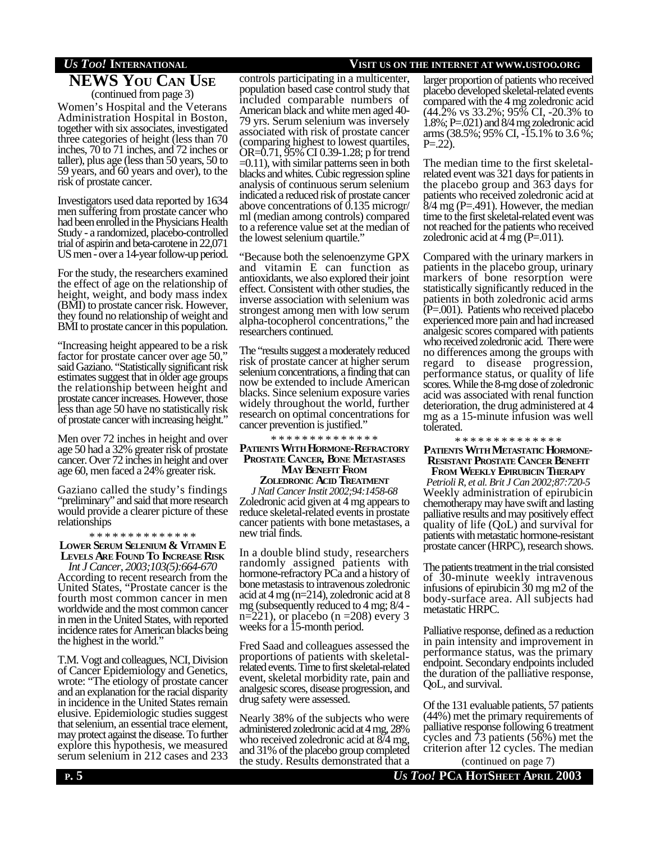## **NEWS YOU CAN USE** (continued from page 3)

Women's Hospital and the Veterans Administration Hospital in Boston, together with six associates, investigated three categories of height (less than 70 inches, 70 to 71 inches, and 72 inches or taller), plus age (less than 50 years, 50 to 59 years, and 60 years and over), to the risk of prostate cancer.

Investigators used data reported by 1634 men suffering from prostate cancer who had been enrolled in the Physicians Health Study - a randomized, placebo-controlled trial of aspirin and beta-carotene in 22,071 US men - over a 14-year follow-up period.

For the study, the researchers examined the effect of age on the relationship of height, weight, and body mass index (BMI) to prostate cancer risk. However, they found no relationship of weight and BMI to prostate cancer in this population.

"Increasing height appeared to be a risk factor for prostate cancer over age 50," said Gaziano. "Statistically significant risk estimates suggest that in older age groups the relationship between height and prostate cancer increases. However, those less than age 50 have no statistically risk of prostate cancer with increasing height."

Men over 72 inches in height and over age 50 had a 32% greater risk of prostate cancer. Over 72 inches in height and over age 60, men faced a 24% greater risk.

Gaziano called the study's findings "preliminary" and said that more research would provide a clearer picture of these relationships

\* \* \* \* \* \* \* \* \* \* \* \* \* \* **LOWER SERUM SELENIUM & VITAMIN E LEVELS ARE FOUND TO INCREASE RISK**

*Int J Cancer, 2003;103(5):664-670* According to recent research from the United States, "Prostate cancer is the fourth most common cancer in men worldwide and the most common cancer in men in the United States, with reported incidence rates for American blacks being the highest in the world."

T.M. Vogt and colleagues, NCI, Division of Cancer Epidemiology and Genetics, wrote: "The etiology of prostate cancer and an explanation for the racial disparity in incidence in the United States remain elusive. Epidemiologic studies suggest that selenium, an essential trace element, may protect against the disease. To further explore this hypothesis, we measured serum selenium in 212 cases and 233

## *US TOO!* **INTERNATIONAL VISIT US ON THE INTERNET AT WWW.USTOO.ORG**

controls participating in a multicenter, population based case control study that included comparable numbers of American black and white men aged 40- 79 yrs. Serum selenium was inversely associated with risk of prostate cancer (comparing highest to lowest quartiles, OR=0.71, 95% CI 0.39-1.28; p for trend  $=0.11$ ), with similar patterns seen in both blacks and whites. Cubic regression spline analysis of continuous serum selenium indicated a reduced risk of prostate cancer above concentrations of 0.135 microgr/ ml (median among controls) compared to a reference value set at the median of the lowest selenium quartile."

"Because both the selenoenzyme GPX and vitamin E can function as antioxidants, we also explored their joint effect. Consistent with other studies, the inverse association with selenium was strongest among men with low serum alpha-tocopherol concentrations," the researchers continued.

The "results suggest a moderately reduced risk of prostate cancer at higher serum selenium concentrations, a finding that can now be extended to include American blacks. Since selenium exposure varies widely throughout the world, further research on optimal concentrations for cancer prevention is justified."

\* \* \* \* \* \* \* \* \* \* \* \* \* \*

### **PATIENTS WITH HORMONE-REFRACTORY PROSTATE CANCER, BONE METASTASES MAY BENEFIT FROM**

**ZOLEDRONIC ACID TREATMENT** *J Natl Cancer Instit 2002;94:1458-68* Zoledronic acid given at 4 mg appears to reduce skeletal-related events in prostate cancer patients with bone metastases, a new trial finds.

In a double blind study, researchers randomly assigned patients with hormone-refractory PCa and a history of bone metastasis to intravenous zoledronic acid at 4 mg (n=214), zoledronic acid at 8 mg (subsequently reduced to 4 mg; 8/4 n=221), or placebo (n =208) every 3 weeks for a 15-month period.

Fred Saad and colleagues assessed the proportions of patients with skeletalrelated events. Time to first skeletal-related event, skeletal morbidity rate, pain and analgesic scores, disease progression, and drug safety were assessed.

Nearly 38% of the subjects who were administered zoledronic acid at 4 mg, 28% who received zoledronic acid at 8/4 mg, and 31% of the placebo group completed the study. Results demonstrated that a larger proportion of patients who received placebo developed skeletal-related events compared with the 4 mg zoledronic acid (44.2% vs 33.2%; 95% CI, -20.3% to 1.8%; P=.021) and 8/4 mg zoledronic acid arms (38.5%; 95% CI, -15.1% to 3.6 %;  $P = 22$ ).

The median time to the first skeletalrelated event was 321 days for patients in the placebo group and 363 days for patients who received zoledronic acid at  $8/4$  mg (P=.491). However, the median time to the first skeletal-related event was not reached for the patients who received zoledronic acid at  $4 \text{ mg}$  (P=.011).

Compared with the urinary markers in patients in the placebo group, urinary markers of bone resorption were statistically significantly reduced in the patients in both zoledronic acid arms (P=.001). Patients who received placebo experienced more pain and had increased analgesic scores compared with patients who received zoledronic acid. There were no differences among the groups with regard to disease progression, performance status, or quality of life scores. While the 8-mg dose of zoledronic acid was associated with renal function deterioration, the drug administered at 4 mg as a 15-minute infusion was well tolerated.

\* \* \* \* \* \* \* \* \* \* \* \* \* \*

## **PATIENTS WITH METASTATIC HORMONE-RESISTANT PROSTATE CANCER BENEFIT**

**FROM WEEKLY EPIRUBICIN THERAPY** *Petrioli R, et al. Brit J Can 2002;87:720-5* Weekly administration of epirubicin chemotherapy may have swift and lasting palliative results and may positively effect quality of life (QoL) and survival for patients with metastatic hormone-resistant prostate cancer (HRPC), research shows.

The patients treatment in the trial consisted of 30-minute weekly intravenous infusions of epirubicin 30 mg m2 of the body-surface area. All subjects had metastatic HRPC.

Palliative response, defined as a reduction in pain intensity and improvement in performance status, was the primary endpoint. Secondary endpoints included the duration of the palliative response, QoL, and survival.

Of the 131 evaluable patients, 57 patients (44%) met the primary requirements of palliative response following 6 treatment cycles and 73 patients (56%) met the criterion after 12 cycles. The median

**P**. 5 **U***S* Too! PCA HOTSHEET APRIL 2003 (continued on page 7)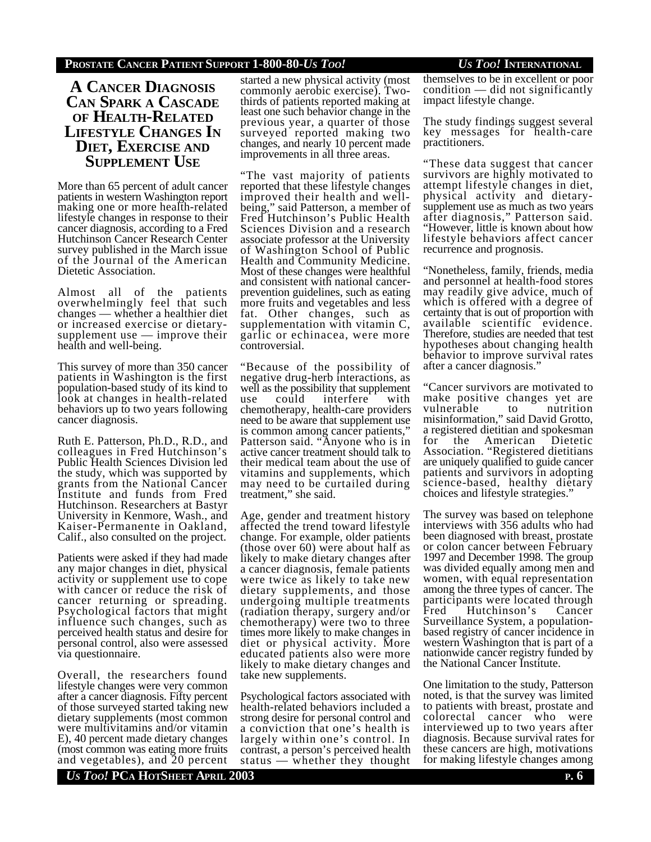## **PROSTATE CANCER PATIENT SUPPORT 1-800-80-***US TOO! US TOO!* **INTERNATIONAL**

## **A CANCER DIAGNOSIS CAN SPARK A CASCADE OF HEALTH-RELATED LIFESTYLE CHANGES IN DIET, EXERCISE AND SUPPLEMENT USE**

More than 65 percent of adult cancer patients in western Washington report making one or more health-related lifestyle changes in response to their cancer diagnosis, according to a Fred Hutchinson Cancer Research Center survey published in the March issue of the Journal of the American Dietetic Association.

Almost all of the patients overwhelmingly feel that such changes — whether a healthier diet or increased exercise or dietarysupplement use — improve their health and well-being.

This survey of more than 350 cancer patients in Washington is the first population-based study of its kind to look at changes in health-related behaviors up to two years following cancer diagnosis.

Ruth E. Patterson, Ph.D., R.D., and colleagues in Fred Hutchinson's Public Health Sciences Division led the study, which was supported by grants from the National Cancer Institute and funds from Fred Hutchinson. Researchers at Bastyr University in Kenmore, Wash., and Kaiser-Permanente in Oakland, Calif., also consulted on the project.

Patients were asked if they had made any major changes in diet, physical activity or supplement use to cope with cancer or reduce the risk of cancer returning or spreading. Psychological factors that might influence such changes, such as perceived health status and desire for personal control, also were assessed via questionnaire.

Overall, the researchers found lifestyle changes were very common after a cancer diagnosis. Fifty percent of those surveyed started taking new dietary supplements (most common were multivitamins and/or vitamin E), 40 percent made dietary changes (most common was eating more fruits and vegetables), and 20 percent

started a new physical activity (most commonly aerobic exercise). Twothirds of patients reported making at least one such behavior change in the previous year, a quarter of those surveyed reported making two changes, and nearly 10 percent made improvements in all three areas.

"The vast majority of patients reported that these lifestyle changes improved their health and wellbeing," said Patterson, a member of Fred Hutchinson's Public Health Sciences Division and a research associate professor at the University of Washington School of Public Health and Community Medicine. Most of these changes were healthful and consistent with national cancerprevention guidelines, such as eating more fruits and vegetables and less fat. Other changes, such as supplementation with vitamin C, garlic or echinacea, were more controversial.

"Because of the possibility of negative drug-herb interactions, as well as the possibility that supplement use could interfere with chemotherapy, health-care providers need to be aware that supplement use is common among cancer patients, Patterson said. "Anyone who is in active cancer treatment should talk to their medical team about the use of vitamins and supplements, which may need to be curtailed during treatment," she said.

Age, gender and treatment history affected the trend toward lifestyle change. For example, older patients (those over 60) were about half as likely to make dietary changes after a cancer diagnosis, female patients were twice as likely to take new dietary supplements, and those undergoing multiple treatments (radiation therapy, surgery and/or chemotherapy) were two to three times more likely to make changes in diet or physical activity. More educated patients also were more likely to make dietary changes and take new supplements.

Psychological factors associated with health-related behaviors included a strong desire for personal control and a conviction that one's health is largely within one's control. In contrast, a person's perceived health status — whether they thought

themselves to be in excellent or poor condition — did not significantly impact lifestyle change.

The study findings suggest several key messages for health-care practitioners.

"These data suggest that cancer survivors are highly motivated to attempt lifestyle changes in diet, physical activity and dietarysupplement use as much as two years after diagnosis," Patterson said. "However, little is known about how lifestyle behaviors affect cancer recurrence and prognosis.

"Nonetheless, family, friends, media and personnel at health-food stores may readily give advice, much of which is offered with a degree of certainty that is out of proportion with available scientific evidence. Therefore, studies are needed that test hypotheses about changing health behavior to improve survival rates after a cancer diagnosis."

"Cancer survivors are motivated to make positive changes yet are vulnerable to nutrition misinformation," said David Grotto, a registered dietitian and spokesman for the American Dietetic Association. "Registered dietitians are uniquely qualified to guide cancer patients and survivors in adopting science-based, healthy dietary choices and lifestyle strategies."

The survey was based on telephone interviews with 356 adults who had been diagnosed with breast, prostate or colon cancer between February 1997 and December 1998. The group was divided equally among men and women, with equal representation among the three types of cancer. The participants were located through Fred Hutchinson's Cancer Surveillance System, a populationbased registry of cancer incidence in western Washington that is part of a nationwide cancer registry funded by the National Cancer Institute.

One limitation to the study, Patterson noted, is that the survey was limited to patients with breast, prostate and colorectal cancer who were interviewed up to two years after diagnosis. Because survival rates for these cancers are high, motivations for making lifestyle changes among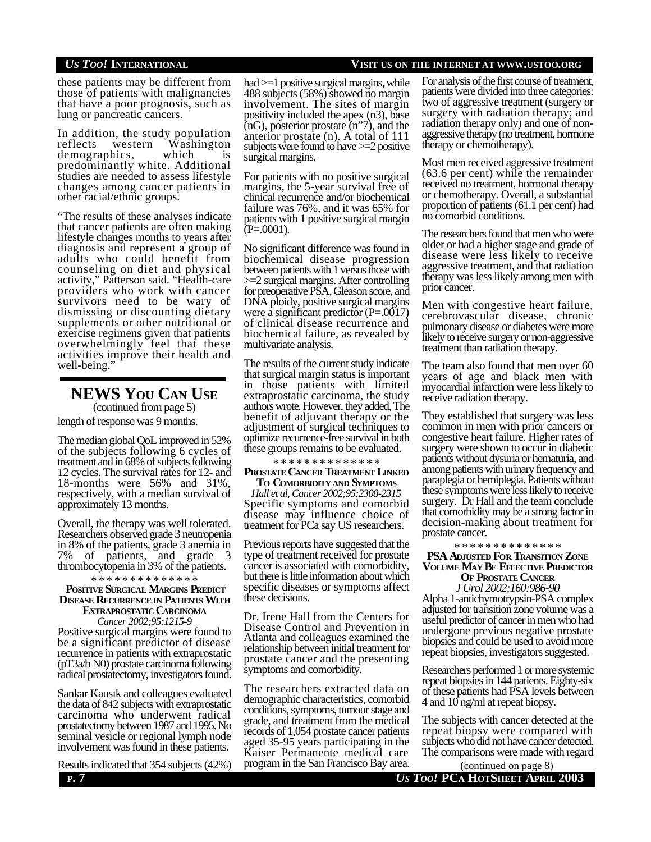*US TOO!* **INTERNATIONAL VISIT US ON THE INTERNET AT WWW.USTOO.ORG**

these patients may be different from those of patients with malignancies that have a poor prognosis, such as lung or pancreatic cancers.

In addition, the study population reflects western Washington demographics, which predominantly white. Additional studies are needed to assess lifestyle changes among cancer patients in other racial/ethnic groups.

"The results of these analyses indicate that cancer patients are often making lifestyle changes months to years after diagnosis and represent a group of adults who could benefit from counseling on diet and physical activity," Patterson said. "Health-care providers who work with cancer survivors need to be wary of dismissing or discounting dietary supplements or other nutritional or exercise regimens given that patients overwhelmingly feel that these activities improve their health and well-being."

**NEWS YOU CAN USE** (continued from page 5)

length of response was 9 months.

The median global QoL improved in 52% of the subjects following 6 cycles of treatment and in 68% of subjects following 12 cycles. The survival rates for 12- and 18-months were 56% and 31%, respectively, with a median survival of approximately 13 months.

Overall, the therapy was well tolerated. Researchers observed grade 3 neutropenia in 8% of the patients, grade 3 anemia in 7% of patients, and grade 3 thrombocytopenia in 3% of the patients.

\* \* \* \* \* \* \* \* \* \* \* \* \* \*

### **POSITIVE SURGICAL MARGINS PREDICT DISEASE RECURRENCE IN PATIENTS WITH EXTRAPROSTATIC CARCINOMA**

*Cancer 2002;95:1215-9* Positive surgical margins were found to be a significant predictor of disease recurrence in patients with extraprostatic (pT3a/b N0) prostate carcinoma following radical prostatectomy, investigators found.

Sankar Kausik and colleagues evaluated the data of 842 subjects with extraprostatic carcinoma who underwent radical prostatectomy between 1987 and 1995. No seminal vesicle or regional lymph node involvement was found in these patients.

Results indicated that 354 subjects (42%)

had >=1 positive surgical margins, while 488 subjects (58%) showed no margin involvement. The sites of margin positivity included the apex (n3), base (nG), posterior prostate (n"7), and the anterior prostate (n). A total of 111 subjects were found to have >=2 positive surgical margins.

For patients with no positive surgical margins, the 5-year survival free of clinical recurrence and/or biochemical failure was 76%, and it was 65% for patients with 1 positive surgical margin  $(P=.0001)$ .

No significant difference was found in biochemical disease progression between patients with 1 versus those with >=2 surgical margins. After controlling for preoperative PSA, Gleason score, and DNA ploidy, positive surgical margins were a significant predictor (P=.0017) of clinical disease recurrence and biochemical failure, as revealed by multivariate analysis.

The results of the current study indicate that surgical margin status is important in those patients with limited extraprostatic carcinoma, the study authors wrote. However, they added, The benefit of adjuvant therapy or the adjustment of surgical techniques to optimize recurrence-free survival in both these groups remains to be evaluated.

\* \* \* \* \* \* \* \* \* \* \* \* \* \*

### **PROSTATE CANCER TREATMENT LINKED TO COMORBIDITY AND SYMPTOMS**

*Hall et al, Cancer 2002;95:2308-2315* Specific symptoms and comorbid disease may influence choice of treatment for PCa say US researchers.

Previous reports have suggested that the type of treatment received for prostate cancer is associated with comorbidity, but there is little information about which specific diseases or symptoms affect these decisions.

Dr. Irene Hall from the Centers for Disease Control and Prevention in Atlanta and colleagues examined the relationship between initial treatment for prostate cancer and the presenting symptoms and comorbidity.

The researchers extracted data on demographic characteristics, comorbid conditions, symptoms, tumour stage and grade, and treatment from the medical records of 1,054 prostate cancer patients aged 35-95 years participating in the Kaiser Permanente medical care program in the San Francisco Bay area.

For analysis of the first course of treatment, patients were divided into three categories: two of aggressive treatment (surgery or surgery with radiation therapy; and radiation therapy only) and one of nonaggressive therapy (no treatment, hormone therapy or chemotherapy).

Most men received aggressive treatment (63.6 per cent) while the remainder received no treatment, hormonal therapy or chemotherapy. Overall, a substantial proportion of patients (61.1 per cent) had no comorbid conditions.

The researchers found that men who were older or had a higher stage and grade of disease were less likely to receive aggressive treatment, and that radiation therapy was less likely among men with prior cancer.

Men with congestive heart failure, cerebrovascular disease, chronic pulmonary disease or diabetes were more likely to receive surgery or non-aggressive treatment than radiation therapy.

The team also found that men over 60 years of age and black men with myocardial infarction were less likely to receive radiation therapy.

They established that surgery was less common in men with prior cancers or congestive heart failure. Higher rates of surgery were shown to occur in diabetic patients without dysuria or hematuria, and among patients with urinary frequency and paraplegia or hemiplegia. Patients without these symptoms were less likely to receive surgery. Dr Hall and the team conclude that comorbidity may be a strong factor in decision-making about treatment for prostate cancer.

\* \* \* \* \* \* \* \* \* \* \* \* \* \*

### **PSA ADJUSTED FOR TRANSITION ZONE VOLUME MAY BE EFFECTIVE PREDICTOR OF PROSTATE CANCER**

*J Urol 2002;160:986-90* Alpha 1-antichymotrypsin-PSA complex adjusted for transition zone volume was a useful predictor of cancer in men who had undergone previous negative prostate biopsies and could be used to avoid more repeat biopsies, investigators suggested.

Researchers performed 1 or more systemic repeat biopsies in 144 patients. Eighty-six of these patients had PSA levels between 4 and 10 ng/ml at repeat biopsy.

The subjects with cancer detected at the repeat biopsy were compared with subjects who did not have cancer detected. The comparisons were made with regard

**P. 7** *US TOO!* **PCA HOTSHEET APRIL 2003** (continued on page 8)